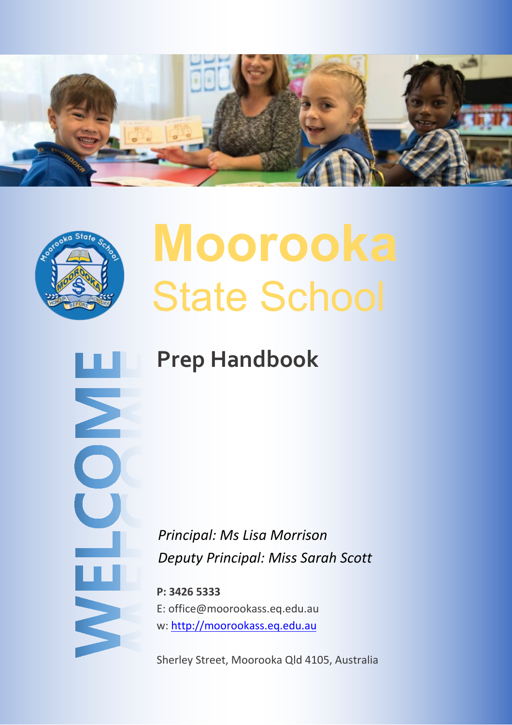



Σ

NELC

# **Moorooka** State School

# **Prep Handbook**

*Principal: Ms Lisa Morrison Deputy Principal: Miss Sarah Scott*

**P: 3426 5333** E: office@moorookass.eq.edu.au w: [http://moorookass.eq.edu.au](http://moorookass.eq.edu.au/)

Sherley Street, Moorooka Qld 4105, Australia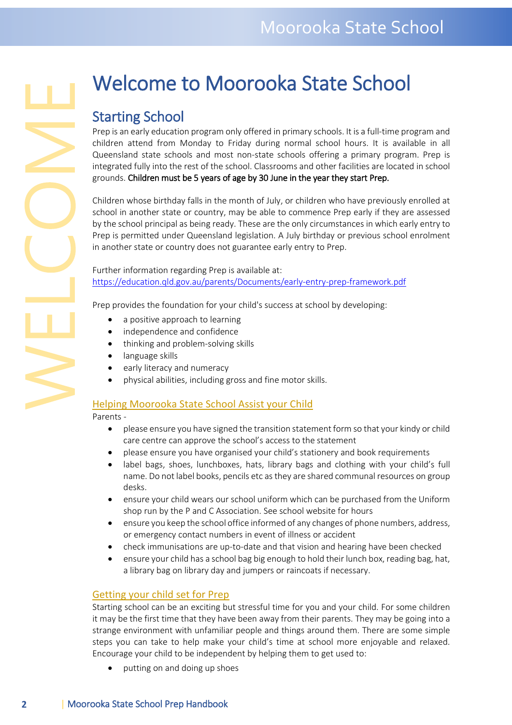# Welcome to Moorooka State School

Starting School<br>Prep is an early education program only offered in primary schools. It is a full-time program and children attend from Monday to Friday during normal school hours. It is available in all Queensland state schools and most non-state schools offering a primary program. Prep is integrated fully into the rest of the school. Classrooms and other facilities are located in school grounds. Children must be 5 years of age by 30 June in the year they start Prep.

Children whose birthday falls in the month of July, or children who have previously enrolled at school in another state or country, may be able to commence Prep early if they are assessed by the school principal as being ready. These are the only circumstances in which early entry to Prep is permitted under Queensland legislation. A July birthday or previous school enrolment in another state or country does not guarantee early entry to Prep.

Further information regarding Prep is available at: <https://education.qld.gov.au/parents/Documents/early-entry-prep-framework.pdf>

Prep provides the foundation for your child's success at school by developing:

- a positive approach to learning
- independence and confidence
- thinking and problem-solving skills
- language skills
- early literacy and numeracy
- physical abilities, including gross and fine motor skills.

#### Helping Moorooka State School Assist your Child

Parents -

- please ensure you have signed the transition statement form so that your kindy or child care centre can approve the school's access to the statement
- please ensure you have organised your child's stationery and book requirements
- label bags, shoes, lunchboxes, hats, library bags and clothing with your child's full name. Do not label books, pencils etc as they are shared communal resources on group desks.
- ensure your child wears our school uniform which can be purchased from the Uniform shop run by the P and C Association. See school website for hours
- ensure you keep the school office informed of any changes of phone numbers, address, or emergency contact numbers in event of illness or accident
- check immunisations are up-to-date and that vision and hearing have been checked
- ensure your child has a school bag big enough to hold their lunch box, reading bag, hat, a library bag on library day and jumpers or raincoats if necessary.

#### Getting your child set for Prep

Starting school can be an exciting but stressful time for you and your child. For some children it may be the first time that they have been away from their parents. They may be going into a strange environment with unfamiliar people and things around them. There are some simple steps you can take to help make your child's time at school more enjoyable and relaxed. Encourage your child to be independent by helping them to get used to:

• putting on and doing up shoes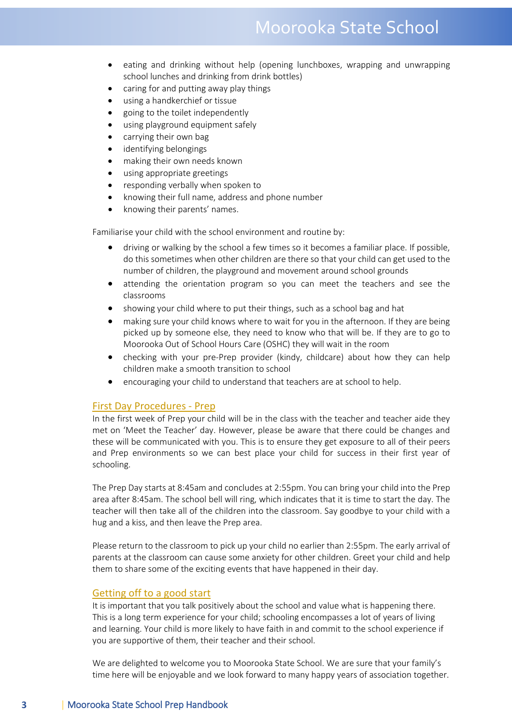# Moorooka State School

- eating and drinking without help (opening lunchboxes, wrapping and unwrapping school lunches and drinking from drink bottles)
- caring for and putting away play things
- using a handkerchief or tissue
- going to the toilet independently
- using playground equipment safely
- carrying their own bag
- identifying belongings
- making their own needs known
- using appropriate greetings
- responding verbally when spoken to
- knowing their full name, address and phone number
- knowing their parents' names.

Familiarise your child with the school environment and routine by:

- driving or walking by the school a few times so it becomes a familiar place. If possible, do this sometimes when other children are there so that your child can get used to the number of children, the playground and movement around school grounds
- attending the orientation program so you can meet the teachers and see the classrooms
- showing your child where to put their things, such as a school bag and hat
- making sure your child knows where to wait for you in the afternoon. If they are being picked up by someone else, they need to know who that will be. If they are to go to Moorooka Out of School Hours Care (OSHC) they will wait in the room
- checking with your pre-Prep provider (kindy, childcare) about how they can help children make a smooth transition to school
- encouraging your child to understand that teachers are at school to help.

#### First Day Procedures - Prep

In the first week of Prep your child will be in the class with the teacher and teacher aide they met on 'Meet the Teacher' day. However, please be aware that there could be changes and these will be communicated with you. This is to ensure they get exposure to all of their peers and Prep environments so we can best place your child for success in their first year of schooling.

The Prep Day starts at 8:45am and concludes at 2:55pm. You can bring your child into the Prep area after 8:45am. The school bell will ring, which indicates that it is time to start the day. The teacher will then take all of the children into the classroom. Say goodbye to your child with a hug and a kiss, and then leave the Prep area.

Please return to the classroom to pick up your child no earlier than 2:55pm. The early arrival of parents at the classroom can cause some anxiety for other children. Greet your child and help them to share some of the exciting events that have happened in their day.

#### Getting off to a good start

It is important that you talk positively about the school and value what is happening there. This is a long term experience for your child; schooling encompasses a lot of years of living and learning. Your child is more likely to have faith in and commit to the school experience if you are supportive of them, their teacher and their school.

We are delighted to welcome you to Moorooka State School. We are sure that your family's time here will be enjoyable and we look forward to many happy years of association together.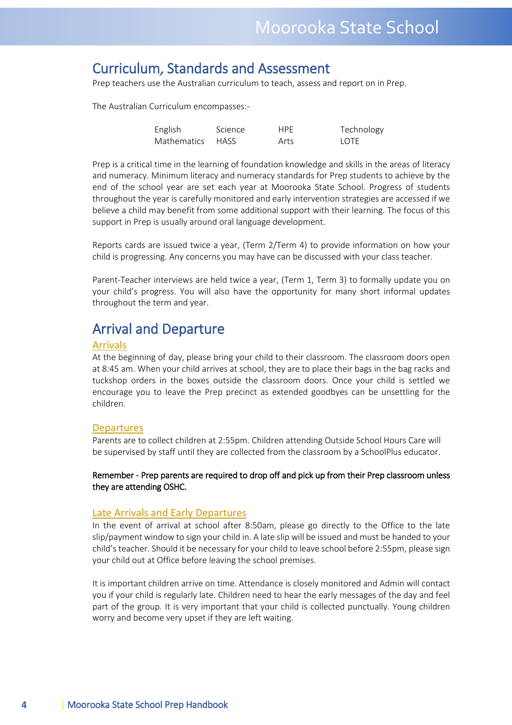# Curriculum, Standards and Assessment

Prep teachers use the Australian curriculum to teach, assess and report on in Prep.

The Australian Curriculum encompasses:-

| English          | Science | <b>HPF</b> | Technology  |
|------------------|---------|------------|-------------|
| Mathematics HASS |         | Arts       | <b>LOTE</b> |

Prep is a critical time in the learning of foundation knowledge and skills in the areas of literacy and numeracy. Minimum literacy and numeracy standards for Prep students to achieve by the end of the school year are set each year at Moorooka State School. Progress of students throughout the year is carefully monitored and early intervention strategies are accessed if we believe a child may benefit from some additional support with their learning. The focus of this support in Prep is usually around oral language development.

Reports cards are issued twice a year, (Term 2/Term 4) to provide information on how your child is progressing. Any concerns you may have can be discussed with your class teacher.

Parent-Teacher interviews are held twice a year, (Term 1, Term 3) to formally update you on your child's progress. You will also have the opportunity for many short informal updates throughout the term and year.

### Arrival and Departure

#### Arrivals

At the beginning of day, please bring your child to their classroom. The classroom doors open at 8:45 am. When your child arrives at school, they are to place their bags in the bag racks and tuckshop orders in the boxes outside the classroom doors. Once your child is settled we encourage you to leave the Prep precinct as extended goodbyes can be unsettling for the children.

#### **Departures**

Parents are to collect children at 2:55pm. Children attending Outside School Hours Care will be supervised by staff until they are collected from the classroom by a SchoolPlus educator.

Remember - Prep parents are required to drop off and pick up from their Prep classroom unless they are attending OSHC.

#### Late Arrivals and Early Departures

In the event of arrival at school after 8:50am, please go directly to the Office to the late slip/payment window to sign your child in. A late slip will be issued and must be handed to your child's teacher. Should it be necessary for your child to leave school before 2:55pm, please sign your child out at Office before leaving the school premises.

It is important children arrive on time. Attendance is closely monitored and Admin will contact you if your child is regularly late. Children need to hear the early messages of the day and feel part of the group. It is very important that your child is collected punctually. Young children worry and become very upset if they are left waiting.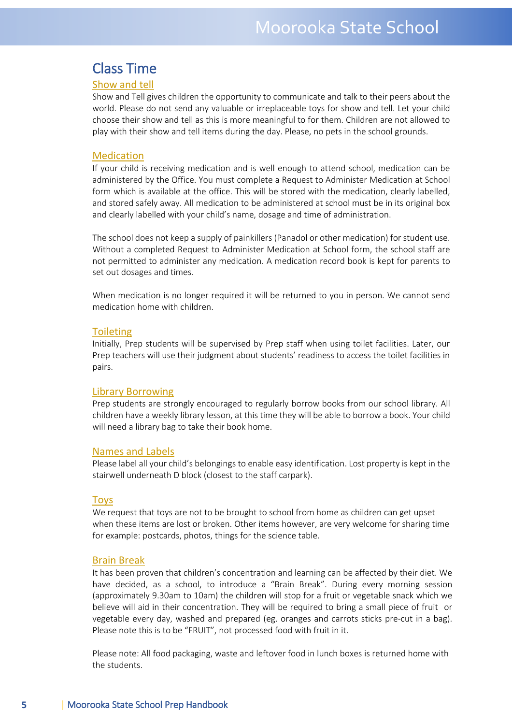### Class Time

#### Show and tell

Show and Tell gives children the opportunity to communicate and talk to their peers about the world. Please do not send any valuable or irreplaceable toys for show and tell. Let your child choose their show and tell as this is more meaningful to for them. Children are not allowed to play with their show and tell items during the day. Please, no pets in the school grounds.

#### Medication

If your child is receiving medication and is well enough to attend school, medication can be administered by the Office. You must complete a Request to Administer Medication at School form which is available at the office. This will be stored with the medication, clearly labelled, and stored safely away. All medication to be administered at school must be in its original box and clearly labelled with your child's name, dosage and time of administration.

The school does not keep a supply of painkillers (Panadol or other medication) for student use. Without a completed Request to Administer Medication at School form, the school staff are not permitted to administer any medication. A medication record book is kept for parents to set out dosages and times.

When medication is no longer required it will be returned to you in person. We cannot send medication home with children.

#### **Toileting**

Initially, Prep students will be supervised by Prep staff when using toilet facilities. Later, our Prep teachers will use their judgment about students' readiness to access the toilet facilities in pairs.

#### Library Borrowing

Prep students are strongly encouraged to regularly borrow books from our school library. All children have a weekly library lesson, at this time they will be able to borrow a book. Your child will need a library bag to take their book home.

#### Names and Labels

Please label all your child's belongings to enable easy identification. Lost property is kept in the stairwell underneath D block (closest to the staff carpark).

#### **Toys**

We request that toys are not to be brought to school from home as children can get upset when these items are lost or broken. Other items however, are very welcome for sharing time for example: postcards, photos, things for the science table.

#### Brain Break

It has been proven that children's concentration and learning can be affected by their diet. We have decided, as a school, to introduce a "Brain Break". During every morning session (approximately 9.30am to 10am) the children will stop for a fruit or vegetable snack which we believe will aid in their concentration. They will be required to bring a small piece of fruit or vegetable every day, washed and prepared (eg. oranges and carrots sticks pre-cut in a bag). Please note this is to be "FRUIT", not processed food with fruit in it.

Please note: All food packaging, waste and leftover food in lunch boxes is returned home with the students.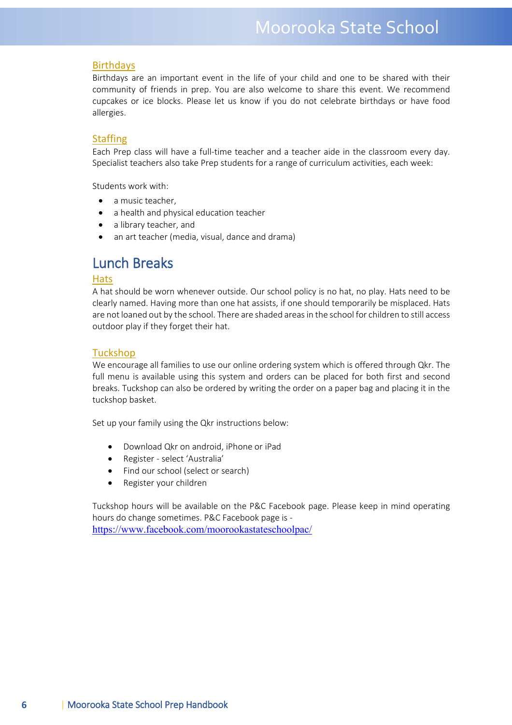#### **Birthdays**

Birthdays are an important event in the life of your child and one to be shared with their community of friends in prep. You are also welcome to share this event. We recommend cupcakes or ice blocks. Please let us know if you do not celebrate birthdays or have food allergies.

#### **Staffing**

Each Prep class will have a full-time teacher and a teacher aide in the classroom every day. Specialist teachers also take Prep students for a range of curriculum activities, each week:

Students work with:

- a music teacher.
- a health and physical education teacher
- a library teacher, and
- an art teacher (media, visual, dance and drama)

# Lunch Breaks

#### **Hats**

A hat should be worn whenever outside. Our school policy is no hat, no play. Hats need to be clearly named. Having more than one hat assists, if one should temporarily be misplaced. Hats are not loaned out by the school. There are shaded areas in the school for children to still access outdoor play if they forget their hat.

#### **Tuckshop**

We encourage all families to use our online ordering system which is offered through Qkr. The full menu is available using this system and orders can be placed for both first and second breaks. Tuckshop can also be ordered by writing the order on a paper bag and placing it in the tuckshop basket.

Set up your family using the Qkr instructions below:

- Download Qkr on android, iPhone or iPad
- Register select 'Australia'
- Find our school (select or search)
- Register your children

Tuckshop hours will be available on the P&C Facebook page. Please keep in mind operating hours do change sometimes. P&C Facebook page is <https://www.facebook.com/moorookastateschoolpac/>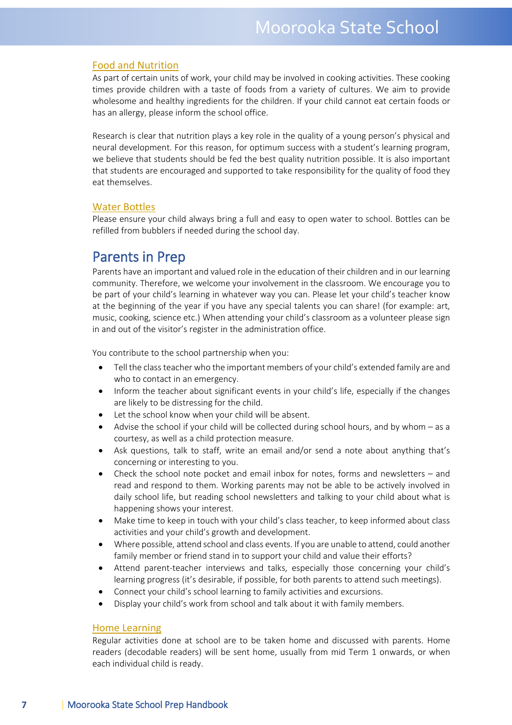#### Food and Nutrition

As part of certain units of work, your child may be involved in cooking activities. These cooking times provide children with a taste of foods from a variety of cultures. We aim to provide wholesome and healthy ingredients for the children. If your child cannot eat certain foods or has an allergy, please inform the school office.

Research is clear that nutrition plays a key role in the quality of a young person's physical and neural development. For this reason, for optimum success with a student's learning program, we believe that students should be fed the best quality nutrition possible. It is also important that students are encouraged and supported to take responsibility for the quality of food they eat themselves.

#### Water Bottles

Please ensure your child always bring a full and easy to open water to school. Bottles can be refilled from bubblers if needed during the school day.

**Parents in Prep**<br>Parents have an important and valued role in the education of their children and in our learning community. Therefore, we welcome your involvement in the classroom. We encourage you to be part of your child's learning in whatever way you can. Please let your child's teacher know at the beginning of the year if you have any special talents you can share! (for example: art, music, cooking, science etc.) When attending your child's classroom as a volunteer please sign in and out of the visitor's register in the administration office.

You contribute to the school partnership when you:

- Tell the class teacher who the important members of your child's extended family are and who to contact in an emergency.
- Inform the teacher about significant events in your child's life, especially if the changes are likely to be distressing for the child.
- Let the school know when your child will be absent.
- Advise the school if your child will be collected during school hours, and by whom as a courtesy, as well as a child protection measure.
- Ask questions, talk to staff, write an email and/or send a note about anything that's concerning or interesting to you.
- Check the school note pocket and email inbox for notes, forms and newsletters and read and respond to them. Working parents may not be able to be actively involved in daily school life, but reading school newsletters and talking to your child about what is happening shows your interest.
- Make time to keep in touch with your child's class teacher, to keep informed about class activities and your child's growth and development.
- Where possible, attend school and class events. If you are unable to attend, could another family member or friend stand in to support your child and value their efforts?
- Attend parent-teacher interviews and talks, especially those concerning your child's learning progress (it's desirable, if possible, for both parents to attend such meetings).
- Connect your child's school learning to family activities and excursions.
- Display your child's work from school and talk about it with family members.

#### Home Learning

Regular activities done at school are to be taken home and discussed with parents. Home readers (decodable readers) will be sent home, usually from mid Term 1 onwards, or when each individual child is ready.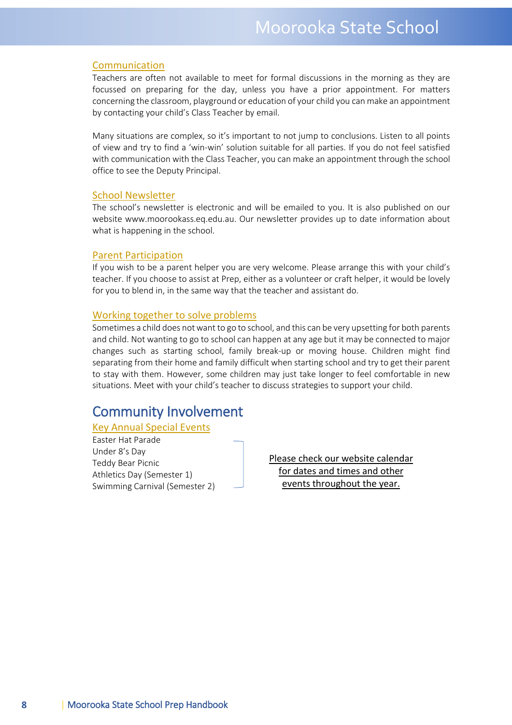#### Communication

Teachers are often not available to meet for formal discussions in the morning as they are focussed on preparing for the day, unless you have a prior appointment. For matters concerning the classroom, playground or education of your child you can make an appointment by contacting your child's Class Teacher by email.

Many situations are complex, so it's important to not jump to conclusions. Listen to all points of view and try to find a 'win-win' solution suitable for all parties. If you do not feel satisfied with communication with the Class Teacher, you can make an appointment through the school office to see the Deputy Principal.

#### School Newsletter

The school's newsletter is electronic and will be emailed to you. It is also published on our website www.moorookass.eq.edu.au. Our newsletter provides up to date information about what is happening in the school.

#### Parent Participation

If you wish to be a parent helper you are very welcome. Please arrange this with your child's teacher. If you choose to assist at Prep, either as a volunteer or craft helper, it would be lovely for you to blend in, in the same way that the teacher and assistant do.

#### Working together to solve problems

Sometimes a child does not want to go to school, and this can be very upsetting for both parents and child. Not wanting to go to school can happen at any age but it may be connected to major changes such as starting school, family break-up or moving house. Children might find separating from their home and family difficult when starting school and try to get their parent to stay with them. However, some children may just take longer to feel comfortable in new situations. Meet with your child's teacher to discuss strategies to support your child.

# Community Involvement

#### Key Annual Special Events

Easter Hat Parade Under 8's Day Teddy Bear Picnic Athletics Day (Semester 1) Swimming Carnival (Semester 2)

Please check our website calendar for dates and times and other events throughout the year.